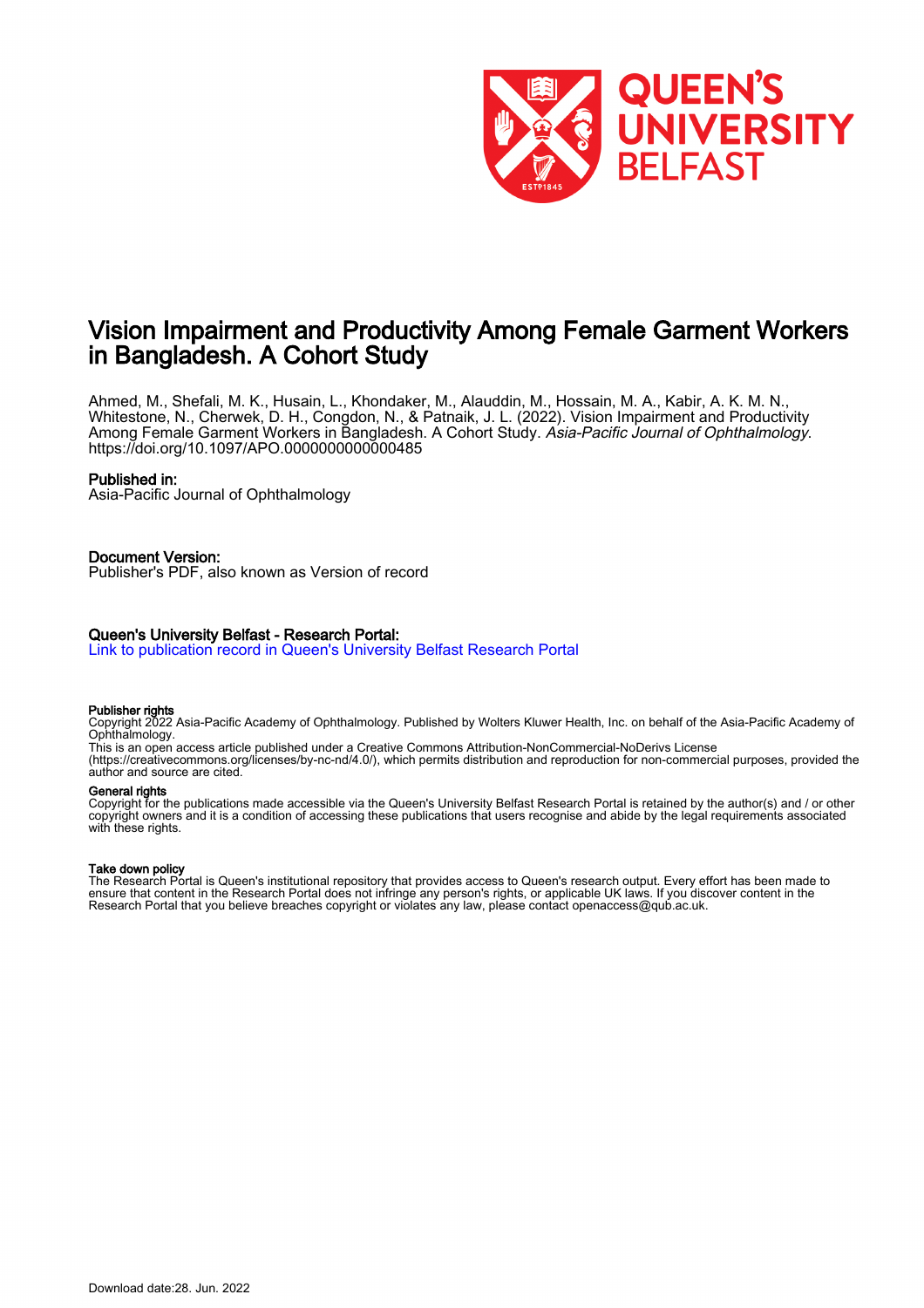

# Vision Impairment and Productivity Among Female Garment Workers in Bangladesh. A Cohort Study

Ahmed, M., Shefali, M. K., Husain, L., Khondaker, M., Alauddin, M., Hossain, M. A., Kabir, A. K. M. N., Whitestone, N., Cherwek, D. H., Congdon, N., & Patnaik, J. L. (2022). Vision Impairment and Productivity Among Female Garment Workers in Bangladesh. A Cohort Study. *Asia-Pacific Journal of Ophthalmology*. <https://doi.org/10.1097/APO.0000000000000485>

#### Published in:

Asia-Pacific Journal of Ophthalmology

#### Document Version:

Publisher's PDF, also known as Version of record

#### Queen's University Belfast - Research Portal:

[Link to publication record in Queen's University Belfast Research Portal](https://pure.qub.ac.uk/en/publications/01b03800-b77a-4a49-8f38-15f712f46485)

#### Publisher rights

Copyright 2022 Asia-Pacific Academy of Ophthalmology. Published by Wolters Kluwer Health, Inc. on behalf of the Asia-Pacific Academy of Ophthalmology.

This is an open access article published under a Creative Commons Attribution-NonCommercial-NoDerivs License (https://creativecommons.org/licenses/by-nc-nd/4.0/), which permits distribution and reproduction for non-commercial purposes, provided the author and source are cited.

# General rights

Copyright for the publications made accessible via the Queen's University Belfast Research Portal is retained by the author(s) and / or other copyright owners and it is a condition of accessing these publications that users recognise and abide by the legal requirements associated with these rights.

#### Take down policy

The Research Portal is Queen's institutional repository that provides access to Queen's research output. Every effort has been made to ensure that content in the Research Portal does not infringe any person's rights, or applicable UK laws. If you discover content in the Research Portal that you believe breaches copyright or violates any law, please contact openaccess@qub.ac.uk.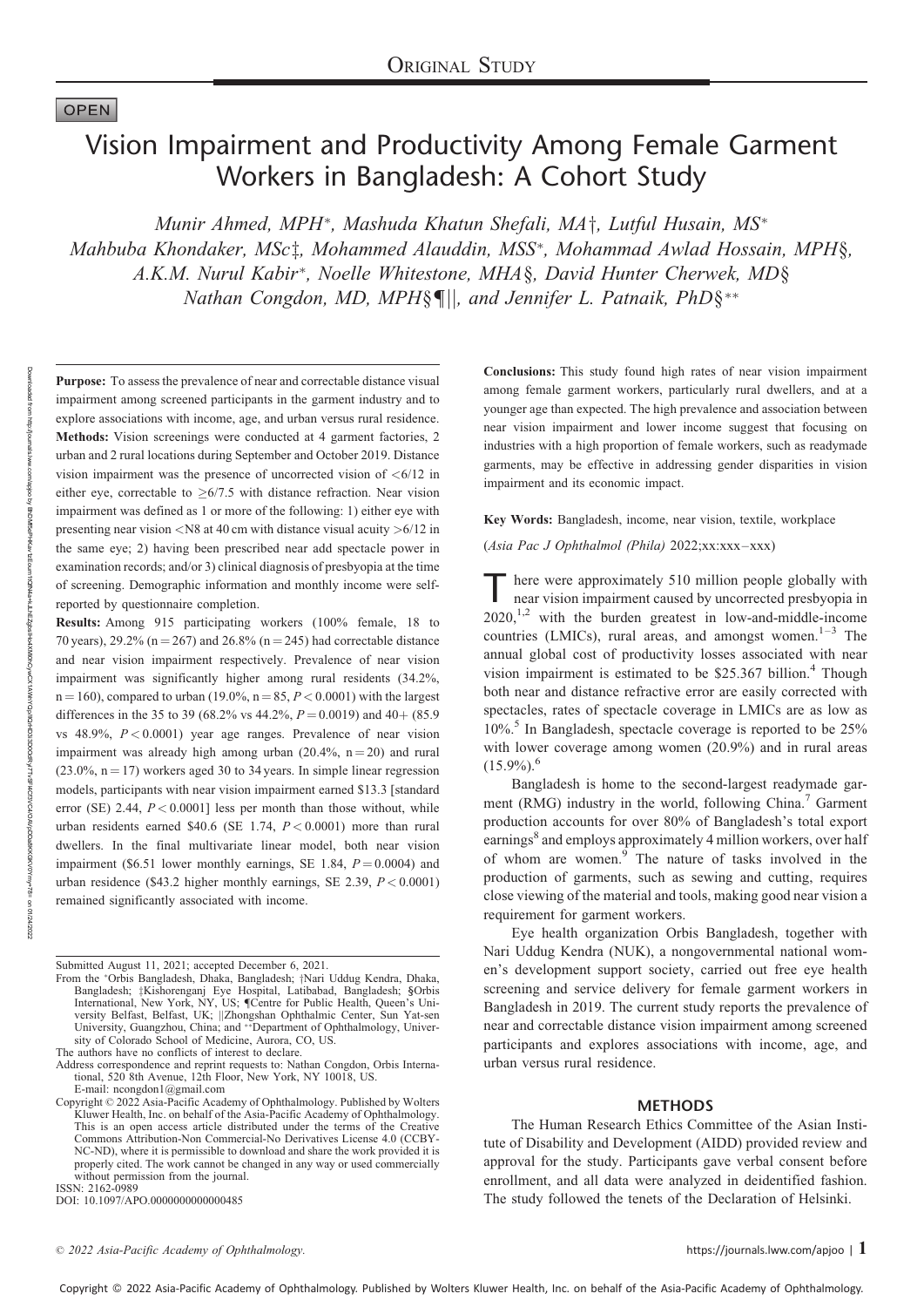# **OPEN**

# Vision Impairment and Productivity Among Female Garment Workers in Bangladesh: A Cohort Study

Munir Ahmed, MPH\*, Mashuda Khatun Shefali, MA<sup>+</sup>, Lutful Husain, MS<sup>\*</sup> Mahbuba Khondaker, MSc<sup>†</sup>, Mohammed Alauddin, MSS<sup>\*</sup>, Mohammad Awlad Hossain, MPH§, A.K.M. Nurul Kabir\*, Noelle Whitestone, MHA§, David Hunter Cherwek, MD§ Nathan Congdon, MD, MPH§¶||, and Jennifer L. Patnaik, PhD§\*\*

Purpose: To assess the prevalence of near and correctable distance visual impairment among screened participants in the garment industry and to explore associations with income, age, and urban versus rural residence. Methods: Vision screenings were conducted at 4 garment factories, 2 urban and 2 rural locations during September and October 2019. Distance vision impairment was the presence of uncorrected vision of  $\langle 6/12 \rangle$  in either eye, correctable to  $\geq 6/7.5$  with distance refraction. Near vision impairment was defined as 1 or more of the following: 1) either eye with presenting near vision <N8 at 40 cm with distance visual acuity >6/12 in the same eye; 2) having been prescribed near add spectacle power in examination records; and/or 3) clinical diagnosis of presbyopia at the time of screening. Demographic information and monthly income were selfreported by questionnaire completion.

Results: Among 915 participating workers (100% female, 18 to 70 years), 29.2% ( $n = 267$ ) and 26.8% ( $n = 245$ ) had correctable distance and near vision impairment respectively. Prevalence of near vision impairment was significantly higher among rural residents (34.2%,  $n = 160$ ), compared to urban (19.0%,  $n = 85$ ,  $P < 0.0001$ ) with the largest differences in the 35 to 39 (68.2% vs 44.2%,  $P = 0.0019$ ) and 40+ (85.9) vs  $48.9\%$ ,  $P < 0.0001$ ) year age ranges. Prevalence of near vision impairment was already high among urban  $(20.4\%, n = 20)$  and rural  $(23.0\%, n = 17)$  workers aged 30 to 34 years. In simple linear regression models, participants with near vision impairment earned \$13.3 [standard error (SE) 2.44,  $P < 0.0001$ ] less per month than those without, while urban residents earned \$40.6 (SE 1.74,  $P < 0.0001$ ) more than rural dwellers. In the final multivariate linear model, both near vision impairment (\$6.51 lower monthly earnings, SE 1.84,  $P = 0.0004$ ) and urban residence (\$43.2 higher monthly earnings, SE 2.39,  $P < 0.0001$ ) remained significantly associated with income.

ISSN: 2162-0989 DOI: 10.1097/APO.0000000000000485 Conclusions: This study found high rates of near vision impairment among female garment workers, particularly rural dwellers, and at a younger age than expected. The high prevalence and association between near vision impairment and lower income suggest that focusing on industries with a high proportion of female workers, such as readymade garments, may be effective in addressing gender disparities in vision impairment and its economic impact.

Key Words: Bangladesh, income, near vision, textile, workplace

(Asia Pac J Ophthalmol (Phila) 2022;xx:xxx–xxx)

T here were approximately 510 million people globally with near vision impairment caused by uncorrected presbyopia in  $2020$ ,<sup>1,2</sup> with the burden greatest in low-and-middle-income countries (LMICs), rural areas, and amongst women.<sup>1–3</sup> The annual global cost of productivity losses associated with near vision impairment is estimated to be \$25.367 billion.<sup>4</sup> Though both near and distance refractive error are easily corrected with spectacles, rates of spectacle coverage in LMICs are as low as  $10\%$ <sup>5</sup> In Bangladesh, spectacle coverage is reported to be  $25\%$ with lower coverage among women (20.9%) and in rural areas  $(15.9\%)$ <sup>6</sup>

Bangladesh is home to the second-largest readymade garment (RMG) industry in the world, following China.<sup>7</sup> Garment production accounts for over 80% of Bangladesh's total export earnings<sup>8</sup> and employs approximately 4 million workers, over half of whom are women.<sup>9</sup> The nature of tasks involved in the production of garments, such as sewing and cutting, requires close viewing of the material and tools, making good near vision a requirement for garment workers.

Eye health organization Orbis Bangladesh, together with Nari Uddug Kendra (NUK), a nongovernmental national women's development support society, carried out free eye health screening and service delivery for female garment workers in Bangladesh in 2019. The current study reports the prevalence of near and correctable distance vision impairment among screened participants and explores associations with income, age, and urban versus rural residence.

#### **METHODS**

The Human Research Ethics Committee of the Asian Institute of Disability and Development (AIDD) provided review and approval for the study. Participants gave verbal consent before enrollment, and all data were analyzed in deidentified fashion. The study followed the tenets of the Declaration of Helsinki.

 $\degree$  2022 Asia-Pacific Academy of Ophthalmology.  $1$ 

Submitted August 11, 2021; accepted December 6, 2021.

From the \*Orbis Bangladesh, Dhaka, Bangladesh; †Nari Uddug Kendra, Dhaka, Bangladesh; ‡Kishorenganj Eye Hospital, Latibabad, Bangladesh; §Orbis International, New York, NY, US; Centre for Public Health, Queen's University Belfast, Belfast, UK; ||Zhongshan Ophthalmic Center, Sun Yat-sen<br>University, Guangzhou, China; and \*\*Department of Ophthalmology, University of Colorado School of Medicine, Aurora, CO, US.

The authors have no conflicts of interest to declare

Address correspondence and reprint requests to: Nathan Congdon, Orbis International, 520 8th Avenue, 12th Floor, New York, NY 10018, US. E-mail: [ncongdon1@gmail.com](mailto:ncongdon1@gmail.com)

Copyright © 2022 Asia-Pacific Academy of Ophthalmology. Published by Wolters Kluwer Health, Inc. on behalf of the Asia-Pacific Academy of Ophthalmology. This is an open access article distributed under the terms of the [Creative](http://creativecommons.org/licenses/by-nc-nd/4.0) [Commons Attribution-Non Commercial-No Derivatives License 4.0](http://creativecommons.org/licenses/by-nc-nd/4.0) (CCBY-NC-ND), where it is permissible to download and share the work provided it is properly cited. The work cannot be changed in any way or used commercially without permission from the journal.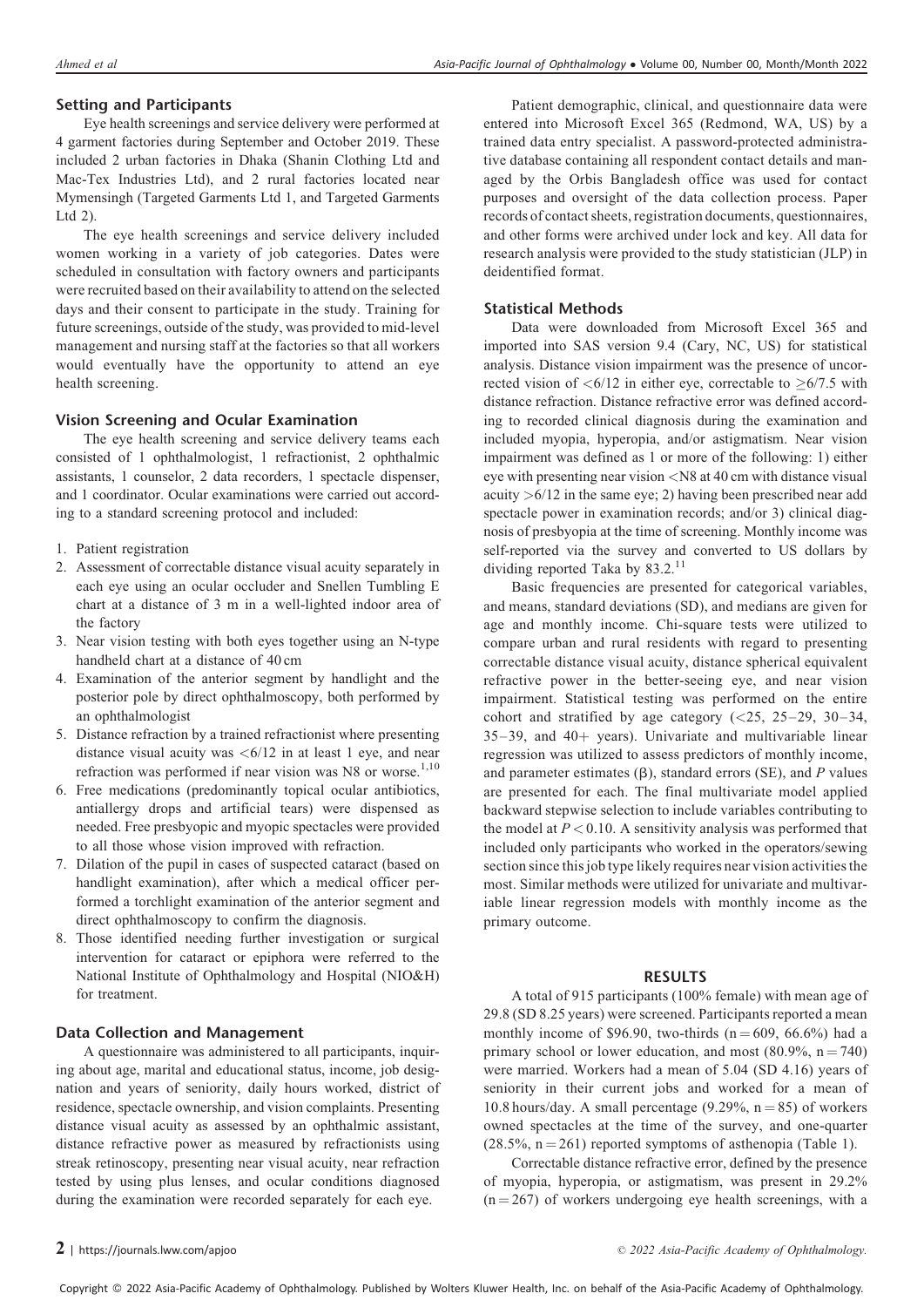# Setting and Participants

Eye health screenings and service delivery were performed at 4 garment factories during September and October 2019. These included 2 urban factories in Dhaka (Shanin Clothing Ltd and Mac-Tex Industries Ltd), and 2 rural factories located near Mymensingh (Targeted Garments Ltd 1, and Targeted Garments Ltd 2).

The eye health screenings and service delivery included women working in a variety of job categories. Dates were scheduled in consultation with factory owners and participants were recruited based on their availability to attend on the selected days and their consent to participate in the study. Training for future screenings, outside of the study, was provided to mid-level management and nursing staff at the factories so that all workers would eventually have the opportunity to attend an eye health screening.

# Vision Screening and Ocular Examination

The eye health screening and service delivery teams each consisted of 1 ophthalmologist, 1 refractionist, 2 ophthalmic assistants, 1 counselor, 2 data recorders, 1 spectacle dispenser, and 1 coordinator. Ocular examinations were carried out according to a standard screening protocol and included:

- 1. Patient registration
- 2. Assessment of correctable distance visual acuity separately in each eye using an ocular occluder and Snellen Tumbling E chart at a distance of 3 m in a well-lighted indoor area of the factory
- 3. Near vision testing with both eyes together using an N-type handheld chart at a distance of 40 cm
- 4. Examination of the anterior segment by handlight and the posterior pole by direct ophthalmoscopy, both performed by an ophthalmologist
- 5. Distance refraction by a trained refractionist where presenting distance visual acuity was  $\lt 6/12$  in at least 1 eye, and near refraction was performed if near vision was N8 or worse. $1,10$
- 6. Free medications (predominantly topical ocular antibiotics, antiallergy drops and artificial tears) were dispensed as needed. Free presbyopic and myopic spectacles were provided to all those whose vision improved with refraction.
- 7. Dilation of the pupil in cases of suspected cataract (based on handlight examination), after which a medical officer performed a torchlight examination of the anterior segment and direct ophthalmoscopy to confirm the diagnosis.
- 8. Those identified needing further investigation or surgical intervention for cataract or epiphora were referred to the National Institute of Ophthalmology and Hospital (NIO&H) for treatment.

#### Data Collection and Management

A questionnaire was administered to all participants, inquiring about age, marital and educational status, income, job designation and years of seniority, daily hours worked, district of residence, spectacle ownership, and vision complaints. Presenting distance visual acuity as assessed by an ophthalmic assistant, distance refractive power as measured by refractionists using streak retinoscopy, presenting near visual acuity, near refraction tested by using plus lenses, and ocular conditions diagnosed during the examination were recorded separately for each eye.

Patient demographic, clinical, and questionnaire data were entered into Microsoft Excel 365 (Redmond, WA, US) by a trained data entry specialist. A password-protected administrative database containing all respondent contact details and managed by the Orbis Bangladesh office was used for contact purposes and oversight of the data collection process. Paper records of contact sheets, registration documents, questionnaires, and other forms were archived under lock and key. All data for research analysis were provided to the study statistician (JLP) in deidentified format.

## Statistical Methods

Data were downloaded from Microsoft Excel 365 and imported into SAS version 9.4 (Cary, NC, US) for statistical analysis. Distance vision impairment was the presence of uncorrected vision of  $\langle 6/12 \rangle$  in either eye, correctable to  $\geq 6/7.5$  with distance refraction. Distance refractive error was defined according to recorded clinical diagnosis during the examination and included myopia, hyperopia, and/or astigmatism. Near vision impairment was defined as 1 or more of the following: 1) either eye with presenting near vision <N8 at 40 cm with distance visual acuity  $>6/12$  in the same eye; 2) having been prescribed near add spectacle power in examination records; and/or 3) clinical diagnosis of presbyopia at the time of screening. Monthly income was self-reported via the survey and converted to US dollars by dividing reported Taka by  $83.2$ .<sup>11</sup>

Basic frequencies are presented for categorical variables, and means, standard deviations (SD), and medians are given for age and monthly income. Chi-square tests were utilized to compare urban and rural residents with regard to presenting correctable distance visual acuity, distance spherical equivalent refractive power in the better-seeing eye, and near vision impairment. Statistical testing was performed on the entire cohort and stratified by age category  $\left( \langle 25, 25-29, 30-34, \right)$  $35-39$ , and  $40+$  years). Univariate and multivariable linear regression was utilized to assess predictors of monthly income, and parameter estimates  $(\beta)$ , standard errors (SE), and P values are presented for each. The final multivariate model applied backward stepwise selection to include variables contributing to the model at  $P < 0.10$ . A sensitivity analysis was performed that included only participants who worked in the operators/sewing section since this job type likely requires near vision activities the most. Similar methods were utilized for univariate and multivariable linear regression models with monthly income as the primary outcome.

#### RESULTS

A total of 915 participants (100% female) with mean age of 29.8 (SD 8.25 years) were screened. Participants reported a mean monthly income of \$96.90, two-thirds  $(n = 609, 66.6%)$  had a primary school or lower education, and most  $(80.9\%, n = 740)$ were married. Workers had a mean of 5.04 (SD 4.16) years of seniority in their current jobs and worked for a mean of 10.8 hours/day. A small percentage (9.29%,  $n = 85$ ) of workers owned spectacles at the time of the survey, and one-quarter  $(28.5\%, n = 261)$  reported symptoms of asthenopia (Table 1).

Correctable distance refractive error, defined by the presence of myopia, hyperopia, or astigmatism, was present in 29.2%  $(n = 267)$  of workers undergoing eye health screenings, with a

Copyright © 2022 Asia-Pacific Academy of Ophthalmology. Published by Wolters Kluwer Health, Inc. on behalf of the Asia-Pacific Academy of Ophthalmology.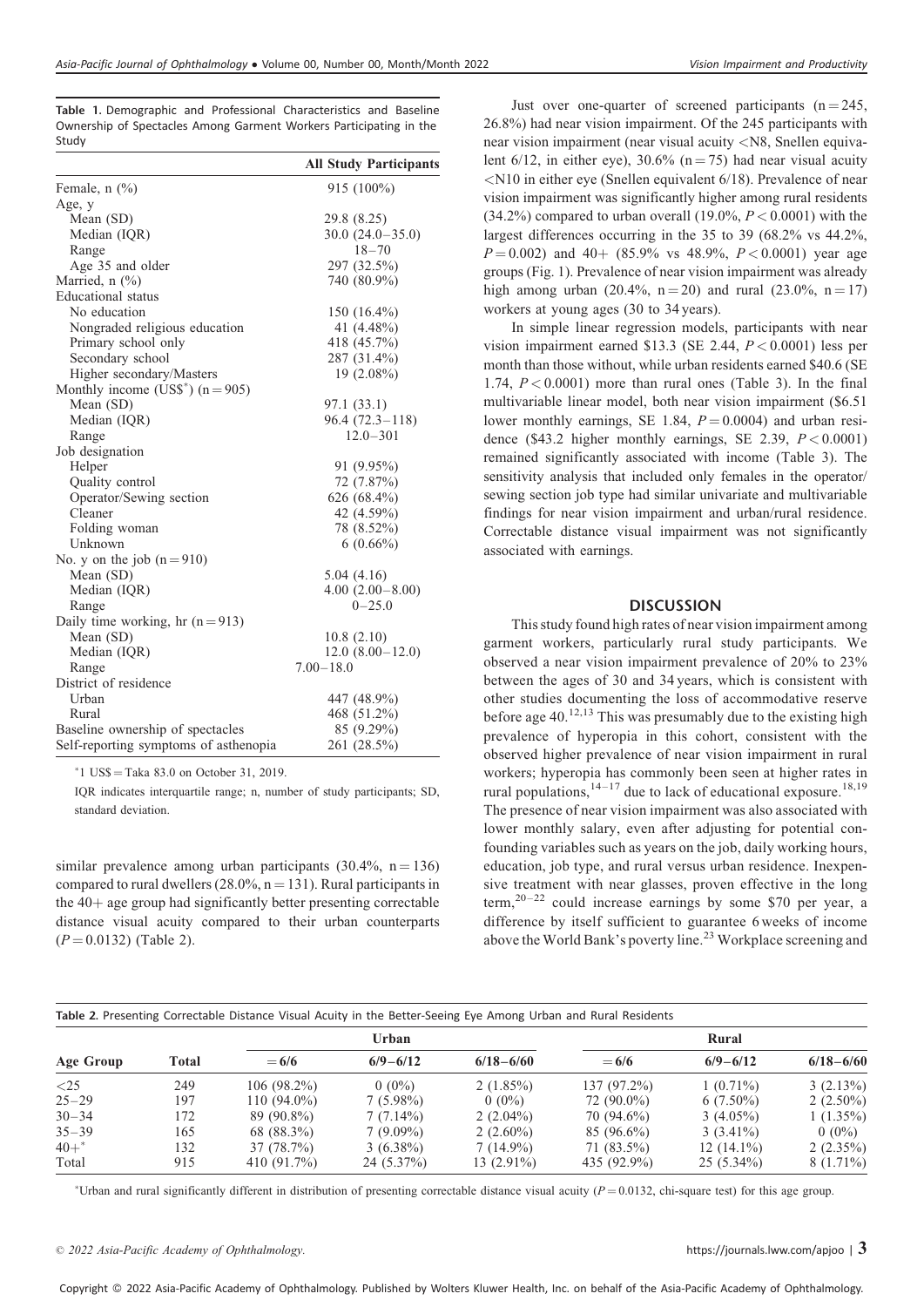Table 1. Demographic and Professional Characteristics and Baseline Ownership of Spectacles Among Garment Workers Participating in the Study

|                                       | <b>All Study Participants</b> |
|---------------------------------------|-------------------------------|
| Female, $n$ $(\%)$                    | $915(100\%)$                  |
| Age, y                                |                               |
| Mean (SD)                             | 29.8 (8.25)                   |
| Median (IQR)                          | $30.0(24.0-35.0)$             |
| Range                                 | $18 - 70$                     |
| Age 35 and older                      | 297 (32.5%)                   |
| Married, $n$ (%)                      | 740 (80.9%)                   |
| Educational status                    |                               |
| No education                          | 150 $(16.4\%)$                |
| Nongraded religious education         | 41 (4.48%)                    |
| Primary school only                   | 418 (45.7%)                   |
| Secondary school                      | 287 (31.4%)                   |
| Higher secondary/Masters              | 19 (2.08%)                    |
| Monthly income (US\$*) $(n = 905)$    |                               |
| Mean (SD)                             | 97.1 (33.1)                   |
| Median (IQR)                          | $96.4(72.3-118)$              |
| Range                                 | $12.0 - 301$                  |
| Job designation                       |                               |
| Helper                                | 91 (9.95%)                    |
| Quality control                       | 72 (7.87%)                    |
| Operator/Sewing section               | 626 (68.4%)                   |
| Cleaner                               | 42 (4.59%)                    |
| Folding woman                         | 78 (8.52%)                    |
| Unknown                               | $6(0.66\%)$                   |
| No. y on the job $(n=910)$            |                               |
| Mean (SD)                             | 5.04(4.16)                    |
| Median (IQR)                          | $4.00(2.00 - 8.00)$           |
| Range                                 | $0 - 25.0$                    |
| Daily time working, hr $(n=913)$      |                               |
| Mean (SD)                             | 10.8(2.10)                    |
| Median (IQR)                          | $12.0(8.00-12.0)$             |
| Range                                 | $7.00 - 18.0$                 |
| District of residence                 |                               |
| Urban                                 | 447 (48.9%)                   |
| Rural                                 | 468 (51.2%)                   |
| Baseline ownership of spectacles      | 85 (9.29%)                    |
| Self-reporting symptoms of asthenopia | 261 (28.5%)                   |

 $*1$  US\$ = Taka 83.0 on October 31, 2019.

IQR indicates interquartile range; n, number of study participants; SD, standard deviation.

similar prevalence among urban participants  $(30.4\%, n = 136)$ compared to rural dwellers  $(28.0\% , n = 131)$ . Rural participants in the  $40+$  age group had significantly better presenting correctable distance visual acuity compared to their urban counterparts  $(P = 0.0132)$  (Table 2).

Just over one-quarter of screened participants  $(n = 245)$ , 26.8%) had near vision impairment. Of the 245 participants with near vision impairment (near visual acuity <N8, Snellen equivalent  $6/12$ , in either eye),  $30.6\%$  (n = 75) had near visual acuity <N10 in either eye (Snellen equivalent 6/18). Prevalence of near vision impairment was significantly higher among rural residents  $(34.2\%)$  compared to urban overall  $(19.0\%, P < 0.0001)$  with the largest differences occurring in the 35 to 39 (68.2% vs 44.2%,  $P = 0.002$ ) and 40+ (85.9% vs 48.9%,  $P < 0.0001$ ) year age groups (Fig. 1). Prevalence of near vision impairment was already high among urban (20.4%,  $n = 20$ ) and rural (23.0%,  $n = 17$ ) workers at young ages (30 to 34 years).

In simple linear regression models, participants with near vision impairment earned \$13.3 (SE 2.44,  $P < 0.0001$ ) less per month than those without, while urban residents earned \$40.6 (SE 1.74,  $P < 0.0001$ ) more than rural ones (Table 3). In the final multivariable linear model, both near vision impairment (\$6.51 lower monthly earnings, SE 1.84,  $P = 0.0004$ ) and urban residence (\$43.2 higher monthly earnings, SE 2.39,  $P < 0.0001$ ) remained significantly associated with income (Table 3). The sensitivity analysis that included only females in the operator/ sewing section job type had similar univariate and multivariable findings for near vision impairment and urban/rural residence. Correctable distance visual impairment was not significantly associated with earnings.

#### **DISCUSSION**

This study found high rates of near vision impairment among garment workers, particularly rural study participants. We observed a near vision impairment prevalence of 20% to 23% between the ages of 30 and 34 years, which is consistent with other studies documenting the loss of accommodative reserve before age  $40.^{12,13}$  This was presumably due to the existing high prevalence of hyperopia in this cohort, consistent with the observed higher prevalence of near vision impairment in rural workers; hyperopia has commonly been seen at higher rates in rural populations,  $1^{4-17}$  due to lack of educational exposure.<sup>18,19</sup> The presence of near vision impairment was also associated with lower monthly salary, even after adjusting for potential confounding variables such as years on the job, daily working hours, education, job type, and rural versus urban residence. Inexpensive treatment with near glasses, proven effective in the long term, $20-22$  could increase earnings by some \$70 per year, a difference by itself sufficient to guarantee 6 weeks of income above the World Bank's poverty line.<sup>23</sup> Workplace screening and

| Table 2. Presenting Correctable Distance Visual Acuity in the Better-Seeing Eye Among Urban and Rural Residents |       |                |              |               |              |              |               |  |
|-----------------------------------------------------------------------------------------------------------------|-------|----------------|--------------|---------------|--------------|--------------|---------------|--|
| Age Group                                                                                                       | Total | Urban          |              |               | Rural        |              |               |  |
|                                                                                                                 |       | $= 6/6$        | $6/9 - 6/12$ | $6/18 - 6/60$ | $= 6/6$      | $6/9 - 6/12$ | $6/18 - 6/60$ |  |
| $\langle 25$                                                                                                    | 249   | $106(98.2\%)$  | $0(0\%)$     | $2(1.85\%)$   | 137 (97.2%)  | $1(0.71\%)$  | $3(2.13\%)$   |  |
| $25 - 29$                                                                                                       | 197   | $110(94.0\%)$  | $7(5.98\%)$  | $0(0\%)$      | $72(90.0\%)$ | $6(7.50\%)$  | $2(2.50\%)$   |  |
| $30 - 34$                                                                                                       | 172   | 89 (90.8%)     | $7(7.14\%)$  | 2 $(2.04\%)$  | 70 (94.6%)   | $3(4.05\%)$  | $1(1.35\%)$   |  |
| $35 - 39$                                                                                                       | 165   | 68 (88.3%)     | $7(9.09\%)$  | 2 $(2.60\%)$  | $85(96.6\%)$ | $3(3.41\%)$  | $0(0\%)$      |  |
| $40+$                                                                                                           | 132   | 37 (78.7%)     | $3(6.38\%)$  | $7(14.9\%)$   | 71 (83.5%)   | $12(14.1\%)$ | $2(2.35\%)$   |  |
| Total                                                                                                           | 915   | 410 $(91.7\%)$ | 24 (5.37%)   | 13 (2.91%)    | 435 (92.9%)  | $25(5.34\%)$ | $8(1.71\%)$   |  |

\*Urban and rural significantly different in distribution of presenting correctable distance visual acuity  $(P = 0.0132)$ , chi-square test) for this age group.

Copyright © 2022 Asia-Pacific Academy of Ophthalmology. Published by Wolters Kluwer Health, Inc. on behalf of the Asia-Pacific Academy of Ophthalmology.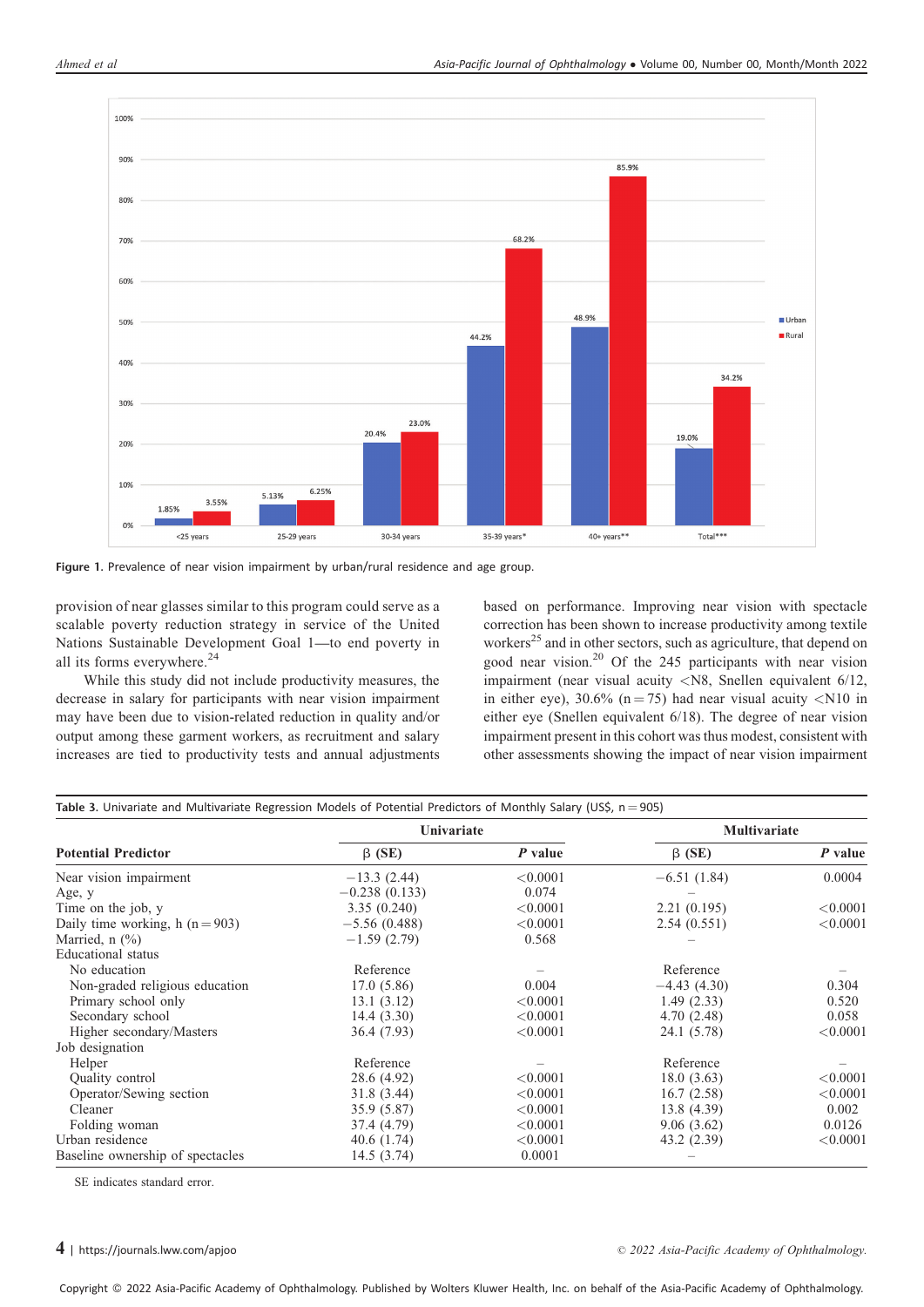

Figure 1. Prevalence of near vision impairment by urban/rural residence and age group.

provision of near glasses similar to this program could serve as a scalable poverty reduction strategy in service of the United Nations Sustainable Development Goal 1—to end poverty in all its forms everywhere.<sup>24</sup>

While this study did not include productivity measures, the decrease in salary for participants with near vision impairment may have been due to vision-related reduction in quality and/or output among these garment workers, as recruitment and salary increases are tied to productivity tests and annual adjustments based on performance. Improving near vision with spectacle correction has been shown to increase productivity among textile workers<sup>25</sup> and in other sectors, such as agriculture, that depend on good near vision.<sup>20</sup> Of the 245 participants with near vision impairment (near visual acuity <N8, Snellen equivalent 6/12, in either eye),  $30.6\%$  (n = 75) had near visual acuity <N10 in either eye (Snellen equivalent 6/18). The degree of near vision impairment present in this cohort was thus modest, consistent with other assessments showing the impact of near vision impairment

| Table 3. Univariate and Multivariate Regression Models of Potential Predictors of Monthly Salary (US\$, $n = 905$ ) |                 |           |               |          |  |  |  |
|---------------------------------------------------------------------------------------------------------------------|-----------------|-----------|---------------|----------|--|--|--|
|                                                                                                                     | Univariate      |           | Multivariate  |          |  |  |  |
| <b>Potential Predictor</b>                                                                                          | $\beta$ (SE)    | $P$ value | $\beta$ (SE)  | P value  |  |  |  |
| Near vision impairment                                                                                              | $-13.3(2.44)$   | < 0.0001  | $-6.51(1.84)$ | 0.0004   |  |  |  |
| Age, y                                                                                                              | $-0.238(0.133)$ | 0.074     |               |          |  |  |  |
| Time on the job, y                                                                                                  | 3.35(0.240)     | < 0.0001  | 2.21(0.195)   | < 0.0001 |  |  |  |
| Daily time working, h $(n = 903)$                                                                                   | $-5.56(0.488)$  | < 0.0001  | 2.54(0.551)   | < 0.0001 |  |  |  |
| Married, $n$ $(\%)$                                                                                                 | $-1.59(2.79)$   | 0.568     |               |          |  |  |  |
| Educational status                                                                                                  |                 |           |               |          |  |  |  |
| No education                                                                                                        | Reference       |           | Reference     |          |  |  |  |
| Non-graded religious education                                                                                      | 17.0(5.86)      | 0.004     | $-4.43(4.30)$ | 0.304    |  |  |  |
| Primary school only                                                                                                 | 13.1(3.12)      | < 0.0001  | 1.49(2.33)    | 0.520    |  |  |  |
| Secondary school                                                                                                    | 14.4(3.30)      | < 0.0001  | 4.70(2.48)    | 0.058    |  |  |  |
| Higher secondary/Masters                                                                                            | 36.4 (7.93)     | < 0.0001  | 24.1 (5.78)   | < 0.0001 |  |  |  |
| Job designation                                                                                                     |                 |           |               |          |  |  |  |
| Helper                                                                                                              | Reference       |           | Reference     |          |  |  |  |
| Quality control                                                                                                     | 28.6 (4.92)     | < 0.0001  | 18.0(3.63)    | < 0.0001 |  |  |  |
| Operator/Sewing section                                                                                             | 31.8 (3.44)     | < 0.0001  | 16.7(2.58)    | < 0.0001 |  |  |  |
| Cleaner                                                                                                             | 35.9 (5.87)     | < 0.0001  | 13.8 (4.39)   | 0.002    |  |  |  |
| Folding woman                                                                                                       | 37.4 (4.79)     | < 0.0001  | 9.06(3.62)    | 0.0126   |  |  |  |
| Urban residence                                                                                                     | 40.6(1.74)      | < 0.0001  | 43.2 (2.39)   | < 0.0001 |  |  |  |
| Baseline ownership of spectacles                                                                                    | 14.5(3.74)      | 0.0001    |               |          |  |  |  |

SE indicates standard error.

#### $4$  |<https://journals.lww.com/apjoo>

2022 Asia-Pacific Academy of Ophthalmology.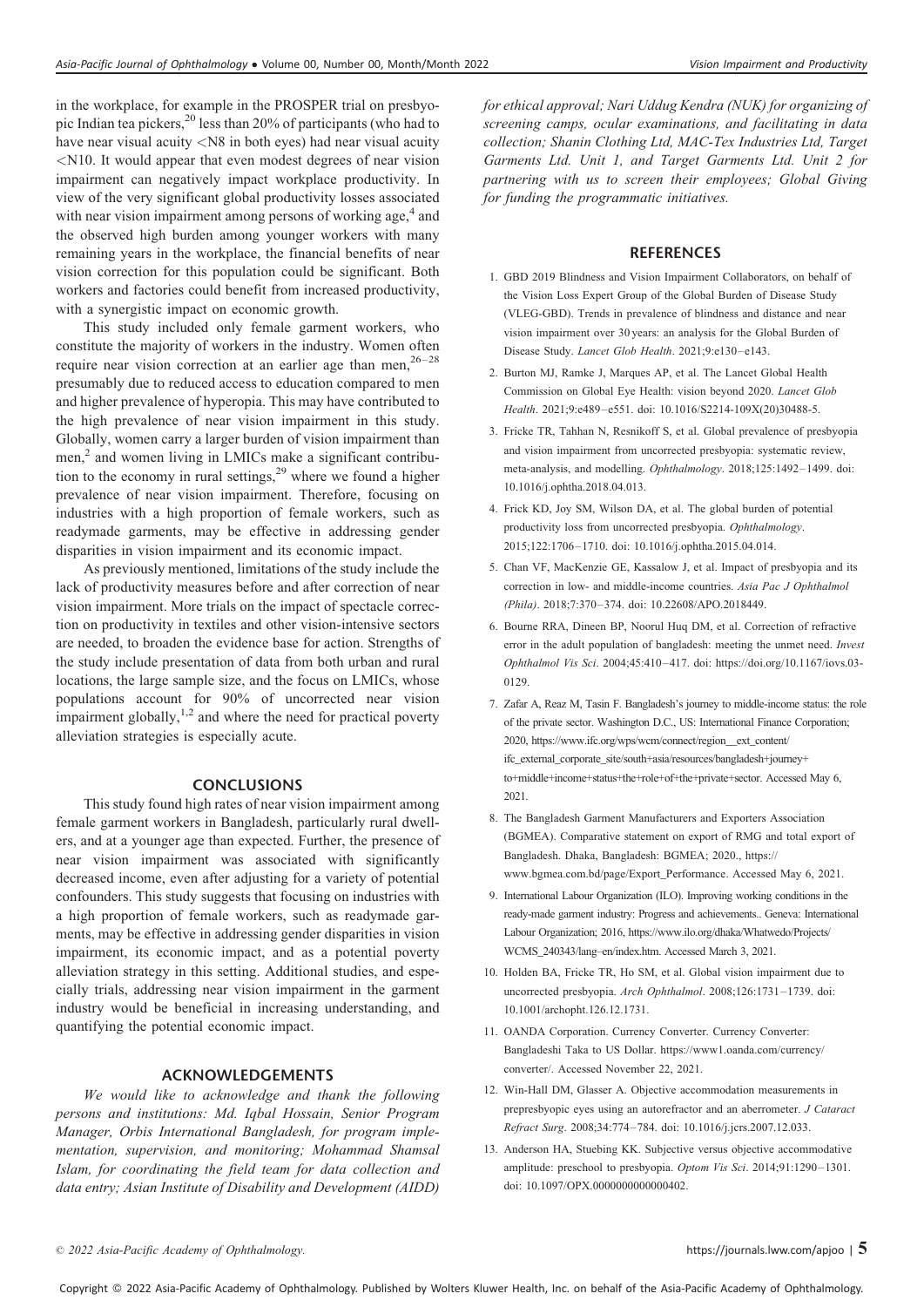in the workplace, for example in the PROSPER trial on presbyopic Indian tea pickers, $^{20}$  less than 20% of participants (who had to have near visual acuity <N8 in both eyes) had near visual acuity <N10. It would appear that even modest degrees of near vision impairment can negatively impact workplace productivity. In view of the very significant global productivity losses associated with near vision impairment among persons of working age,<sup>4</sup> and the observed high burden among younger workers with many remaining years in the workplace, the financial benefits of near vision correction for this population could be significant. Both workers and factories could benefit from increased productivity, with a synergistic impact on economic growth.

This study included only female garment workers, who constitute the majority of workers in the industry. Women often require near vision correction at an earlier age than men,  $26-28$ presumably due to reduced access to education compared to men and higher prevalence of hyperopia. This may have contributed to the high prevalence of near vision impairment in this study. Globally, women carry a larger burden of vision impairment than men,<sup>2</sup> and women living in LMICs make a significant contribution to the economy in rural settings, $29$  where we found a higher prevalence of near vision impairment. Therefore, focusing on industries with a high proportion of female workers, such as readymade garments, may be effective in addressing gender disparities in vision impairment and its economic impact.

As previously mentioned, limitations of the study include the lack of productivity measures before and after correction of near vision impairment. More trials on the impact of spectacle correction on productivity in textiles and other vision-intensive sectors are needed, to broaden the evidence base for action. Strengths of the study include presentation of data from both urban and rural locations, the large sample size, and the focus on LMICs, whose populations account for 90% of uncorrected near vision impairment globally, $1,2$  and where the need for practical poverty alleviation strategies is especially acute.

#### **CONCLUSIONS**

This study found high rates of near vision impairment among female garment workers in Bangladesh, particularly rural dwellers, and at a younger age than expected. Further, the presence of near vision impairment was associated with significantly decreased income, even after adjusting for a variety of potential confounders. This study suggests that focusing on industries with a high proportion of female workers, such as readymade garments, may be effective in addressing gender disparities in vision impairment, its economic impact, and as a potential poverty alleviation strategy in this setting. Additional studies, and especially trials, addressing near vision impairment in the garment industry would be beneficial in increasing understanding, and quantifying the potential economic impact.

## ACKNOWLEDGEMENTS

We would like to acknowledge and thank the following persons and institutions: Md. Iqbal Hossain, Senior Program Manager, Orbis International Bangladesh, for program implementation, supervision, and monitoring; Mohammad Shamsal Islam, for coordinating the field team for data collection and data entry; Asian Institute of Disability and Development (AIDD)

for ethical approval; Nari Uddug Kendra (NUK) for organizing of screening camps, ocular examinations, and facilitating in data collection; Shanin Clothing Ltd, MAC-Tex Industries Ltd, Target Garments Ltd. Unit 1, and Target Garments Ltd. Unit 2 for partnering with us to screen their employees; Global Giving for funding the programmatic initiatives.

#### **REFERENCES**

- 1. GBD 2019 Blindness and Vision Impairment Collaborators, on behalf of the Vision Loss Expert Group of the Global Burden of Disease Study (VLEG-GBD). Trends in prevalence of blindness and distance and near vision impairment over 30 years: an analysis for the Global Burden of Disease Study. Lancet Glob Health. 2021;9:e130–e143.
- 2. Burton MJ, Ramke J, Marques AP, et al. The Lancet Global Health Commission on Global Eye Health: vision beyond 2020. Lancet Glob Health. 2021;9:e489–e551. doi: 10.1016/S2214-109X(20)30488-5.
- 3. Fricke TR, Tahhan N, Resnikoff S, et al. Global prevalence of presbyopia and vision impairment from uncorrected presbyopia: systematic review, meta-analysis, and modelling. Ophthalmology. 2018;125:1492–1499. doi: 10.1016/j.ophtha.2018.04.013.
- 4. Frick KD, Joy SM, Wilson DA, et al. The global burden of potential productivity loss from uncorrected presbyopia. Ophthalmology. 2015;122:1706–1710. doi: 10.1016/j.ophtha.2015.04.014.
- 5. Chan VF, MacKenzie GE, Kassalow J, et al. Impact of presbyopia and its correction in low- and middle-income countries. Asia Pac J Ophthalmol (Phila). 2018;7:370–374. doi: 10.22608/APO.2018449.
- 6. Bourne RRA, Dineen BP, Noorul Huq DM, et al. Correction of refractive error in the adult population of bangladesh: meeting the unmet need. Invest Ophthalmol Vis Sci. 2004;45:410–417. doi: [https://doi.org/10.1167/iovs.03-](https://doi.org/10.1167/iovs.03-0129) [0129.](https://doi.org/10.1167/iovs.03-0129)
- 7. Zafar A, Reaz M, Tasin F. Bangladesh's journey to middle-income status: the role of the private sector. Washington D.C., US: International Finance Corporation; 2020, [https://www.ifc.org/wps/wcm/connect/region\\_\\_ext\\_content/](https://www.ifc.org/wps/wcm/connect/region__ext_content/ifc_external_corporate_site/south+asia/resources/bangladesh+journey+to+middle+income+status+the+role+of+the+private+sector) [ifc\\_external\\_corporate\\_site/south+asia/resources/bangladesh+journey+](https://www.ifc.org/wps/wcm/connect/region__ext_content/ifc_external_corporate_site/south+asia/resources/bangladesh+journey+to+middle+income+status+the+role+of+the+private+sector) [to+middle+income+status+the+role+of+the+private+sector.](https://www.ifc.org/wps/wcm/connect/region__ext_content/ifc_external_corporate_site/south+asia/resources/bangladesh+journey+to+middle+income+status+the+role+of+the+private+sector) Accessed May 6, 2021.
- 8. The Bangladesh Garment Manufacturers and Exporters Association (BGMEA). Comparative statement on export of RMG and total export of Bangladesh. Dhaka, Bangladesh: BGMEA; 2020., [https://](https://www.bgmea.com.bd/page/Export_Performance) [www.bgmea.com.bd/page/Export\\_Performance.](https://www.bgmea.com.bd/page/Export_Performance) Accessed May 6, 2021.
- 9. International Labour Organization (ILO). Improving working conditions in the ready-made garment industry: Progress and achievements.. Geneva: International Labour Organization; 2016, [https://www.ilo.org/dhaka/Whatwedo/Projects/](https://www.ilo.org/dhaka/Whatwedo/Projects/WCMS_240343/lang--en/index.htm) [WCMS\\_240343/lang–en/index.htm](https://www.ilo.org/dhaka/Whatwedo/Projects/WCMS_240343/lang--en/index.htm). Accessed March 3, 2021.
- 10. Holden BA, Fricke TR, Ho SM, et al. Global vision impairment due to uncorrected presbyopia. Arch Ophthalmol. 2008;126:1731–1739. doi: 10.1001/archopht.126.12.1731.
- 11. OANDA Corporation. Currency Converter. Currency Converter: Bangladeshi Taka to US Dollar. [https://www1.oanda.com/currency/](https://www1.oanda.com/currency/converter/) [converter/. Accessed November 22, 2021.](https://www1.oanda.com/currency/converter/)
- 12. Win-Hall DM, Glasser A. Objective accommodation measurements in prepresbyopic eyes using an autorefractor and an aberrometer. J Cataract Refract Surg. 2008;34:774–784. doi: 10.1016/j.jcrs.2007.12.033.
- 13. Anderson HA, Stuebing KK. Subjective versus objective accommodative amplitude: preschool to presbyopia. Optom Vis Sci. 2014;91:1290–1301. doi: 10.1097/OPX.0000000000000402.

Copyright © 2022 Asia-Pacific Academy of Ophthalmology. Published by Wolters Kluwer Health, Inc. on behalf of the Asia-Pacific Academy of Ophthalmology.